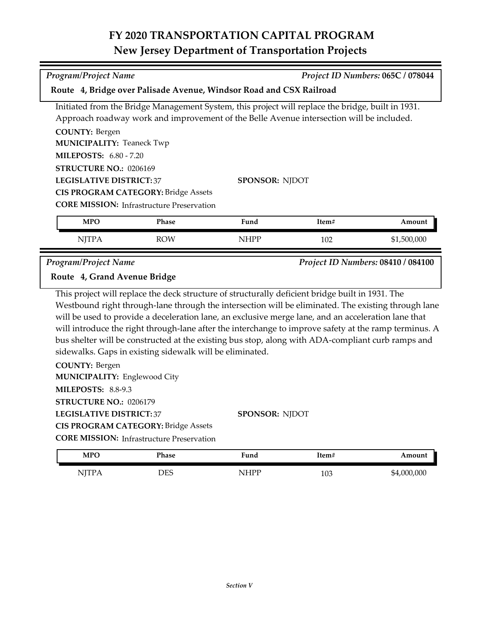## **FY 2020 TRANSPORTATION CAPITAL PROGRAM New Jersey Department of Transportation Projects**

| <b>Program/Project Name</b>                                                                                                                                                                                                                                                                                                                                                                                                                                                                                                                                                                                                                       |                                                                                                |                | Project ID Numbers: 065C / 078044 |             |  |  |  |  |
|---------------------------------------------------------------------------------------------------------------------------------------------------------------------------------------------------------------------------------------------------------------------------------------------------------------------------------------------------------------------------------------------------------------------------------------------------------------------------------------------------------------------------------------------------------------------------------------------------------------------------------------------------|------------------------------------------------------------------------------------------------|----------------|-----------------------------------|-------------|--|--|--|--|
| Route 4, Bridge over Palisade Avenue, Windsor Road and CSX Railroad                                                                                                                                                                                                                                                                                                                                                                                                                                                                                                                                                                               |                                                                                                |                |                                   |             |  |  |  |  |
| Initiated from the Bridge Management System, this project will replace the bridge, built in 1931.                                                                                                                                                                                                                                                                                                                                                                                                                                                                                                                                                 |                                                                                                |                |                                   |             |  |  |  |  |
| Approach roadway work and improvement of the Belle Avenue intersection will be included.                                                                                                                                                                                                                                                                                                                                                                                                                                                                                                                                                          |                                                                                                |                |                                   |             |  |  |  |  |
| <b>COUNTY: Bergen</b>                                                                                                                                                                                                                                                                                                                                                                                                                                                                                                                                                                                                                             |                                                                                                |                |                                   |             |  |  |  |  |
| <b>MUNICIPALITY: Teaneck Twp</b>                                                                                                                                                                                                                                                                                                                                                                                                                                                                                                                                                                                                                  |                                                                                                |                |                                   |             |  |  |  |  |
| <b>MILEPOSTS: 6.80 - 7.20</b>                                                                                                                                                                                                                                                                                                                                                                                                                                                                                                                                                                                                                     |                                                                                                |                |                                   |             |  |  |  |  |
| STRUCTURE NO.: 0206169                                                                                                                                                                                                                                                                                                                                                                                                                                                                                                                                                                                                                            |                                                                                                |                |                                   |             |  |  |  |  |
| <b>LEGISLATIVE DISTRICT:37</b>                                                                                                                                                                                                                                                                                                                                                                                                                                                                                                                                                                                                                    |                                                                                                |                | <b>SPONSOR: NJDOT</b>             |             |  |  |  |  |
| <b>CIS PROGRAM CATEGORY: Bridge Assets</b>                                                                                                                                                                                                                                                                                                                                                                                                                                                                                                                                                                                                        |                                                                                                |                |                                   |             |  |  |  |  |
|                                                                                                                                                                                                                                                                                                                                                                                                                                                                                                                                                                                                                                                   | <b>CORE MISSION: Infrastructure Preservation</b>                                               |                |                                   |             |  |  |  |  |
| <b>MPO</b>                                                                                                                                                                                                                                                                                                                                                                                                                                                                                                                                                                                                                                        | Phase                                                                                          | Fund           | Item#                             | Amount      |  |  |  |  |
| <b>NJTPA</b>                                                                                                                                                                                                                                                                                                                                                                                                                                                                                                                                                                                                                                      | <b>ROW</b>                                                                                     | <b>NHPP</b>    | 102                               | \$1,500,000 |  |  |  |  |
| <b>Program/Project Name</b><br>Project ID Numbers: 08410 / 084100                                                                                                                                                                                                                                                                                                                                                                                                                                                                                                                                                                                 |                                                                                                |                |                                   |             |  |  |  |  |
| Route 4, Grand Avenue Bridge                                                                                                                                                                                                                                                                                                                                                                                                                                                                                                                                                                                                                      |                                                                                                |                |                                   |             |  |  |  |  |
| This project will replace the deck structure of structurally deficient bridge built in 1931. The<br>Westbound right through-lane through the intersection will be eliminated. The existing through lane<br>will be used to provide a deceleration lane, an exclusive merge lane, and an acceleration lane that<br>will introduce the right through-lane after the interchange to improve safety at the ramp terminus. A<br>bus shelter will be constructed at the existing bus stop, along with ADA-compliant curb ramps and<br>sidewalks. Gaps in existing sidewalk will be eliminated.<br><b>COUNTY: Bergen</b><br>MUNICIPALITY: Englewood City |                                                                                                |                |                                   |             |  |  |  |  |
| <b>MILEPOSTS: 8.8-9.3</b><br>STRUCTURE NO.: 0206179<br><b>LEGISLATIVE DISTRICT:37</b>                                                                                                                                                                                                                                                                                                                                                                                                                                                                                                                                                             | <b>CIS PROGRAM CATEGORY: Bridge Assets</b><br><b>CORE MISSION:</b> Infrastructure Preservation | SPONSOR: NJDOT |                                   |             |  |  |  |  |
| <b>MPO</b>                                                                                                                                                                                                                                                                                                                                                                                                                                                                                                                                                                                                                                        | Phase                                                                                          | Fund           | Item#                             | Amount      |  |  |  |  |
| <b>NJTPA</b>                                                                                                                                                                                                                                                                                                                                                                                                                                                                                                                                                                                                                                      | <b>DES</b>                                                                                     | <b>NHPP</b>    | 103                               | \$4,000,000 |  |  |  |  |